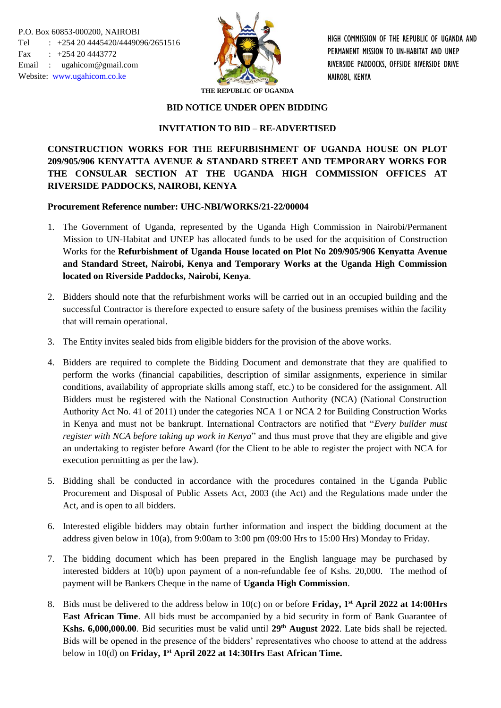

HIGH COMMISSION OF THE REPUBLIC OF UGANDA AND PERMANENT MISSION TO UN-HABITAT AND UNEP RIVERSIDE PADDOCKS, OFFSIDE RIVERSIDE DRIVE NAIROBI, KENYA

**THE REPUBLIC OF UGANDA**

### **BID NOTICE UNDER OPEN BIDDING**

## **INVITATION TO BID – RE-ADVERTISED**

# **CONSTRUCTION WORKS FOR THE REFURBISHMENT OF UGANDA HOUSE ON PLOT 209/905/906 KENYATTA AVENUE & STANDARD STREET AND TEMPORARY WORKS FOR THE CONSULAR SECTION AT THE UGANDA HIGH COMMISSION OFFICES AT RIVERSIDE PADDOCKS, NAIROBI, KENYA**

## **Procurement Reference number: UHC-NBI/WORKS/21-22/00004**

- 1. The Government of Uganda, represented by the Uganda High Commission in Nairobi/Permanent Mission to UN-Habitat and UNEP has allocated funds to be used for the acquisition of Construction Works for the **Refurbishment of Uganda House located on Plot No 209/905/906 Kenyatta Avenue and Standard Street, Nairobi, Kenya and Temporary Works at the Uganda High Commission located on Riverside Paddocks, Nairobi, Kenya**.
- 2. Bidders should note that the refurbishment works will be carried out in an occupied building and the successful Contractor is therefore expected to ensure safety of the business premises within the facility that will remain operational.
- 3. The Entity invites sealed bids from eligible bidders for the provision of the above works.
- 4. Bidders are required to complete the Bidding Document and demonstrate that they are qualified to perform the works (financial capabilities, description of similar assignments, experience in similar conditions, availability of appropriate skills among staff, etc.) to be considered for the assignment. All Bidders must be registered with the National Construction Authority (NCA) (National Construction Authority Act No. 41 of 2011) under the categories NCA 1 or NCA 2 for Building Construction Works in Kenya and must not be bankrupt. International Contractors are notified that "*Every builder must register with NCA before taking up work in Kenya*" and thus must prove that they are eligible and give an undertaking to register before Award (for the Client to be able to register the project with NCA for execution permitting as per the law).
- 5. Bidding shall be conducted in accordance with the procedures contained in the Uganda Public Procurement and Disposal of Public Assets Act, 2003 (the Act) and the Regulations made under the Act, and is open to all bidders.
- 6. Interested eligible bidders may obtain further information and inspect the bidding document at the address given below in 10(a), from 9:00am to 3:00 pm (09:00 Hrs to 15:00 Hrs) Monday to Friday.
- 7. The bidding document which has been prepared in the English language may be purchased by interested bidders at 10(b) upon payment of a non-refundable fee of Kshs. 20,000. The method of payment will be Bankers Cheque in the name of **Uganda High Commission**.
- 8. Bids must be delivered to the address below in 10(c) on or before **Friday, 1st April 2022 at 14:00Hrs East African Time**. All bids must be accompanied by a bid security in form of Bank Guarantee of **Kshs. 6,000,000.00***.* Bid securities must be valid until **29th August 2022**. Late bids shall be rejected. Bids will be opened in the presence of the bidders' representatives who choose to attend at the address below in 10(d) on **Friday, 1 st April 2022 at 14:30Hrs East African Time.**